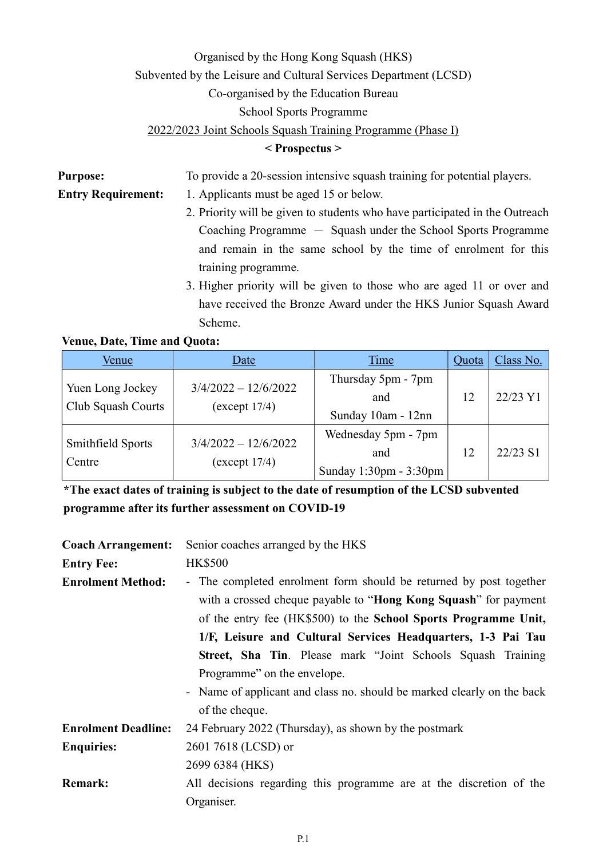## Organised by the Hong Kong Squash (HKS) Subvented by the Leisure and Cultural Services Department (LCSD) Co-organised by the Education Bureau School Sports Programme 2022/2023 Joint Schools Squash Training Programme (Phase I)

## < Prospectus >

| <b>Purpose:</b>           | To provide a 20-session intensive squash training for potential players.    |  |
|---------------------------|-----------------------------------------------------------------------------|--|
| <b>Entry Requirement:</b> | 1. Applicants must be aged 15 or below.                                     |  |
|                           | 2. Priority will be given to students who have participated in the Outreach |  |
|                           | Coaching Programme $-$ Squash under the School Sports Programme             |  |
|                           | and remain in the same school by the time of enrolment for this             |  |
|                           | training programme.                                                         |  |
|                           | 3. Higher priority will be given to those who are aged 11 or over and       |  |
|                           | have received the Bronze Award under the HKS Junior Squash Award            |  |
|                           | Scheme.                                                                     |  |

| <b>Venue, Date, Time and Quota:</b> |      |  |
|-------------------------------------|------|--|
| Venue                               | Date |  |
|                                     |      |  |

| Venue                                  | Date                                    | Time                                                 | Quota | Class No. |
|----------------------------------------|-----------------------------------------|------------------------------------------------------|-------|-----------|
| Yuen Long Jockey<br>Club Squash Courts | $3/4/2022 - 12/6/2022$<br>(except 17/4) | Thursday 5pm - 7pm<br>and<br>Sunday 10am - 12nn      | 12    | 22/23 Y1  |
| Smithfield Sports<br>Centre            | $3/4/2022 - 12/6/2022$<br>(except 17/4) | Wednesday 5pm - 7pm<br>and<br>Sunday 1:30pm - 3:30pm | 12    | 22/23 S1  |

\*The exact dates of training is subject to the date of resumption of the LCSD subvented programme after its further assessment on COVID-19

| <b>Coach Arrangement:</b>  | Senior coaches arranged by the HKS                                                                                                                                                                                |  |  |  |  |
|----------------------------|-------------------------------------------------------------------------------------------------------------------------------------------------------------------------------------------------------------------|--|--|--|--|
| <b>Entry Fee:</b>          | <b>HK\$500</b>                                                                                                                                                                                                    |  |  |  |  |
| <b>Enrolment Method:</b>   | - The completed enrolment form should be returned by post together<br>with a crossed cheque payable to " <b>Hong Kong Squash</b> " for payment<br>of the entry fee (HK\$500) to the School Sports Programme Unit, |  |  |  |  |
|                            | 1/F, Leisure and Cultural Services Headquarters, 1-3 Pai Tau                                                                                                                                                      |  |  |  |  |
|                            | Street, Sha Tin. Please mark "Joint Schools Squash Training                                                                                                                                                       |  |  |  |  |
|                            | Programme" on the envelope.                                                                                                                                                                                       |  |  |  |  |
|                            | - Name of applicant and class no. should be marked clearly on the back                                                                                                                                            |  |  |  |  |
|                            | of the cheque.                                                                                                                                                                                                    |  |  |  |  |
| <b>Enrolment Deadline:</b> | 24 February 2022 (Thursday), as shown by the postmark                                                                                                                                                             |  |  |  |  |
| <b>Enquiries:</b>          | 2601 7618 (LCSD) or                                                                                                                                                                                               |  |  |  |  |
|                            | 2699 6384 (HKS)                                                                                                                                                                                                   |  |  |  |  |
| <b>Remark:</b>             | All decisions regarding this programme are at the discretion of the                                                                                                                                               |  |  |  |  |
|                            | Organiser.                                                                                                                                                                                                        |  |  |  |  |